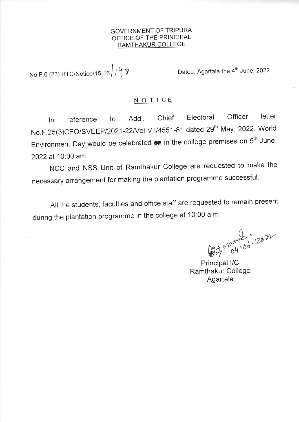## GOVERNMENT OF TRIPURA OFFICE OF THE PRINCIPAL RAMTHAKUR COLLEGE

No.F.6 (23) RTC/Notice/15-16 1 4  $\sqrt[3]{}$ 

Dated, Agartala the 4<sup>th</sup> June, 2022

## N O T ICE

ln reference to Addl. chief Electoral officer letter No.F.25(3)CEO/SVEEP/2021-22/Vol-VII/4551-81 dated 29<sup>th</sup> May, 2022, World Environment Day would be celebrated  $\bullet\bullet$  in the college premises on  $5^{\text{th}}$  June, 2022 at 10:00 am.

NCC and NSS Unit of Ramthakur College are requested to make the necessary arrangement for making the plantation programme successful.

All the students, faculties and office staff are requested to remain present during the plantation programme in the college at 10:00 a.m

 $\bigcap$  $m_{\rm{max}}$ , 2014  $W$ 

Principal I/C Ramthakur College Agartala